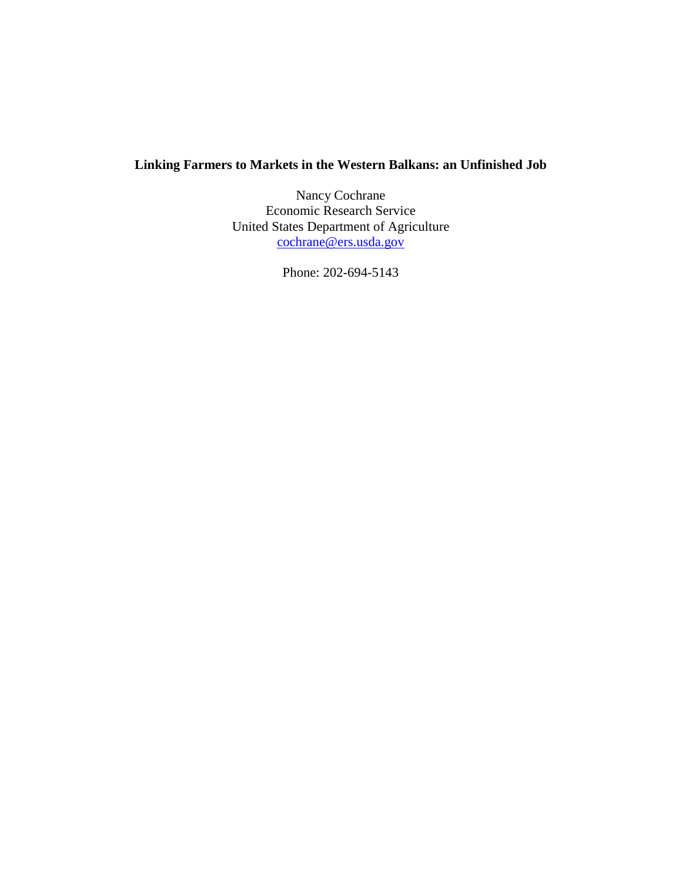## **Linking Farmers to Markets in the Western Balkans: an Unfinished Job**

Nancy Cochrane Economic Research Service United States Department of Agriculture cochrane@ers.usda.gov

Phone: 202-694-5143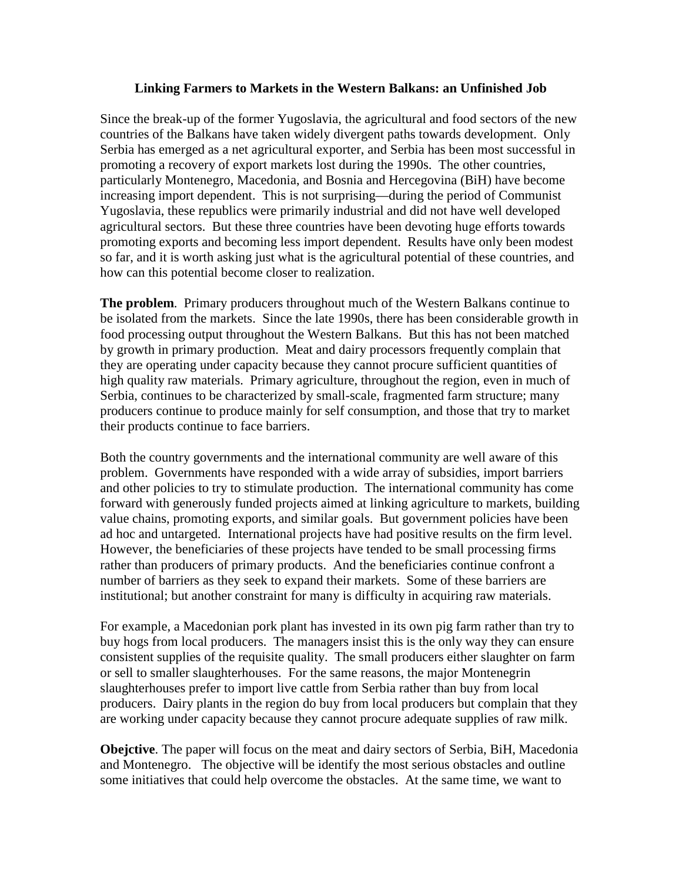## **Linking Farmers to Markets in the Western Balkans: an Unfinished Job**

Since the break-up of the former Yugoslavia, the agricultural and food sectors of the new countries of the Balkans have taken widely divergent paths towards development. Only Serbia has emerged as a net agricultural exporter, and Serbia has been most successful in promoting a recovery of export markets lost during the 1990s. The other countries, particularly Montenegro, Macedonia, and Bosnia and Hercegovina (BiH) have become increasing import dependent. This is not surprising—during the period of Communist Yugoslavia, these republics were primarily industrial and did not have well developed agricultural sectors. But these three countries have been devoting huge efforts towards promoting exports and becoming less import dependent. Results have only been modest so far, and it is worth asking just what is the agricultural potential of these countries, and how can this potential become closer to realization.

**The problem**. Primary producers throughout much of the Western Balkans continue to be isolated from the markets. Since the late 1990s, there has been considerable growth in food processing output throughout the Western Balkans. But this has not been matched by growth in primary production. Meat and dairy processors frequently complain that they are operating under capacity because they cannot procure sufficient quantities of high quality raw materials. Primary agriculture, throughout the region, even in much of Serbia, continues to be characterized by small-scale, fragmented farm structure; many producers continue to produce mainly for self consumption, and those that try to market their products continue to face barriers.

Both the country governments and the international community are well aware of this problem. Governments have responded with a wide array of subsidies, import barriers and other policies to try to stimulate production. The international community has come forward with generously funded projects aimed at linking agriculture to markets, building value chains, promoting exports, and similar goals. But government policies have been ad hoc and untargeted. International projects have had positive results on the firm level. However, the beneficiaries of these projects have tended to be small processing firms rather than producers of primary products. And the beneficiaries continue confront a number of barriers as they seek to expand their markets. Some of these barriers are institutional; but another constraint for many is difficulty in acquiring raw materials.

For example, a Macedonian pork plant has invested in its own pig farm rather than try to buy hogs from local producers. The managers insist this is the only way they can ensure consistent supplies of the requisite quality. The small producers either slaughter on farm or sell to smaller slaughterhouses. For the same reasons, the major Montenegrin slaughterhouses prefer to import live cattle from Serbia rather than buy from local producers. Dairy plants in the region do buy from local producers but complain that they are working under capacity because they cannot procure adequate supplies of raw milk.

**Obejctive**. The paper will focus on the meat and dairy sectors of Serbia, BiH, Macedonia and Montenegro. The objective will be identify the most serious obstacles and outline some initiatives that could help overcome the obstacles. At the same time, we want to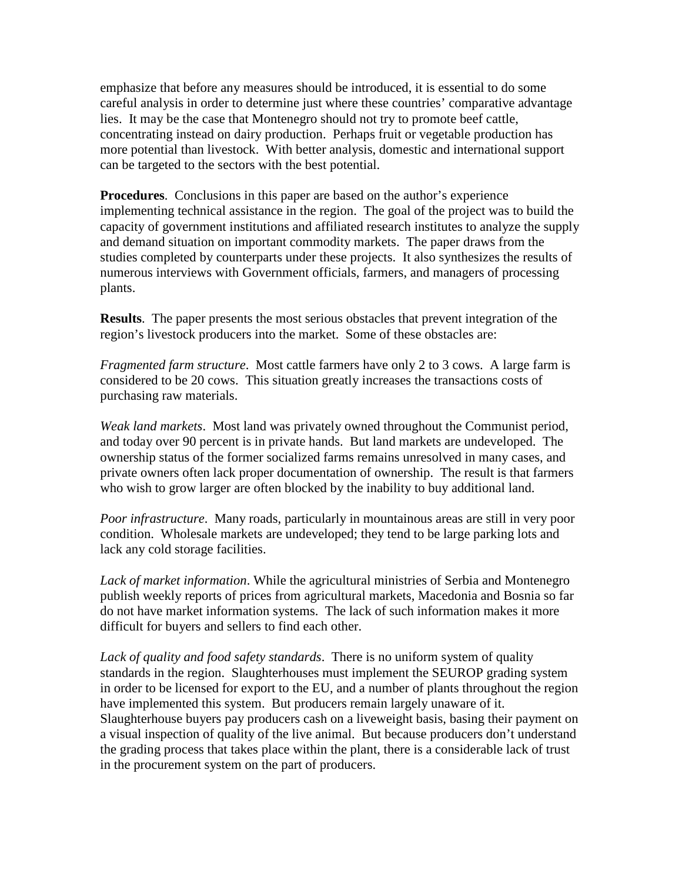emphasize that before any measures should be introduced, it is essential to do some careful analysis in order to determine just where these countries' comparative advantage lies. It may be the case that Montenegro should not try to promote beef cattle, concentrating instead on dairy production. Perhaps fruit or vegetable production has more potential than livestock. With better analysis, domestic and international support can be targeted to the sectors with the best potential.

**Procedures**. Conclusions in this paper are based on the author's experience implementing technical assistance in the region. The goal of the project was to build the capacity of government institutions and affiliated research institutes to analyze the supply and demand situation on important commodity markets. The paper draws from the studies completed by counterparts under these projects. It also synthesizes the results of numerous interviews with Government officials, farmers, and managers of processing plants.

**Results**. The paper presents the most serious obstacles that prevent integration of the region's livestock producers into the market. Some of these obstacles are:

*Fragmented farm structure*. Most cattle farmers have only 2 to 3 cows. A large farm is considered to be 20 cows. This situation greatly increases the transactions costs of purchasing raw materials.

*Weak land markets*. Most land was privately owned throughout the Communist period, and today over 90 percent is in private hands. But land markets are undeveloped. The ownership status of the former socialized farms remains unresolved in many cases, and private owners often lack proper documentation of ownership. The result is that farmers who wish to grow larger are often blocked by the inability to buy additional land.

*Poor infrastructure*. Many roads, particularly in mountainous areas are still in very poor condition. Wholesale markets are undeveloped; they tend to be large parking lots and lack any cold storage facilities.

*Lack of market information*. While the agricultural ministries of Serbia and Montenegro publish weekly reports of prices from agricultural markets, Macedonia and Bosnia so far do not have market information systems. The lack of such information makes it more difficult for buyers and sellers to find each other.

*Lack of quality and food safety standards*. There is no uniform system of quality standards in the region. Slaughterhouses must implement the SEUROP grading system in order to be licensed for export to the EU, and a number of plants throughout the region have implemented this system. But producers remain largely unaware of it. Slaughterhouse buyers pay producers cash on a liveweight basis, basing their payment on a visual inspection of quality of the live animal. But because producers don't understand the grading process that takes place within the plant, there is a considerable lack of trust in the procurement system on the part of producers.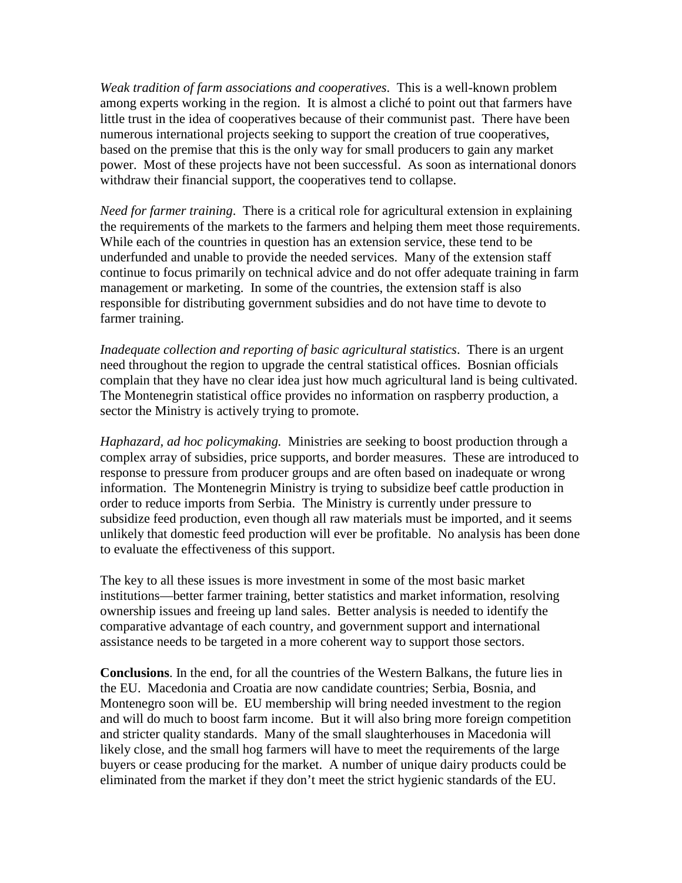*Weak tradition of farm associations and cooperatives*. This is a well-known problem among experts working in the region. It is almost a cliché to point out that farmers have little trust in the idea of cooperatives because of their communist past. There have been numerous international projects seeking to support the creation of true cooperatives, based on the premise that this is the only way for small producers to gain any market power. Most of these projects have not been successful. As soon as international donors withdraw their financial support, the cooperatives tend to collapse.

*Need for farmer training*. There is a critical role for agricultural extension in explaining the requirements of the markets to the farmers and helping them meet those requirements. While each of the countries in question has an extension service, these tend to be underfunded and unable to provide the needed services. Many of the extension staff continue to focus primarily on technical advice and do not offer adequate training in farm management or marketing. In some of the countries, the extension staff is also responsible for distributing government subsidies and do not have time to devote to farmer training.

*Inadequate collection and reporting of basic agricultural statistics*. There is an urgent need throughout the region to upgrade the central statistical offices. Bosnian officials complain that they have no clear idea just how much agricultural land is being cultivated. The Montenegrin statistical office provides no information on raspberry production, a sector the Ministry is actively trying to promote.

*Haphazard, ad hoc policymaking.* Ministries are seeking to boost production through a complex array of subsidies, price supports, and border measures. These are introduced to response to pressure from producer groups and are often based on inadequate or wrong information. The Montenegrin Ministry is trying to subsidize beef cattle production in order to reduce imports from Serbia. The Ministry is currently under pressure to subsidize feed production, even though all raw materials must be imported, and it seems unlikely that domestic feed production will ever be profitable. No analysis has been done to evaluate the effectiveness of this support.

The key to all these issues is more investment in some of the most basic market institutions—better farmer training, better statistics and market information, resolving ownership issues and freeing up land sales. Better analysis is needed to identify the comparative advantage of each country, and government support and international assistance needs to be targeted in a more coherent way to support those sectors.

**Conclusions**. In the end, for all the countries of the Western Balkans, the future lies in the EU. Macedonia and Croatia are now candidate countries; Serbia, Bosnia, and Montenegro soon will be. EU membership will bring needed investment to the region and will do much to boost farm income. But it will also bring more foreign competition and stricter quality standards. Many of the small slaughterhouses in Macedonia will likely close, and the small hog farmers will have to meet the requirements of the large buyers or cease producing for the market. A number of unique dairy products could be eliminated from the market if they don't meet the strict hygienic standards of the EU.